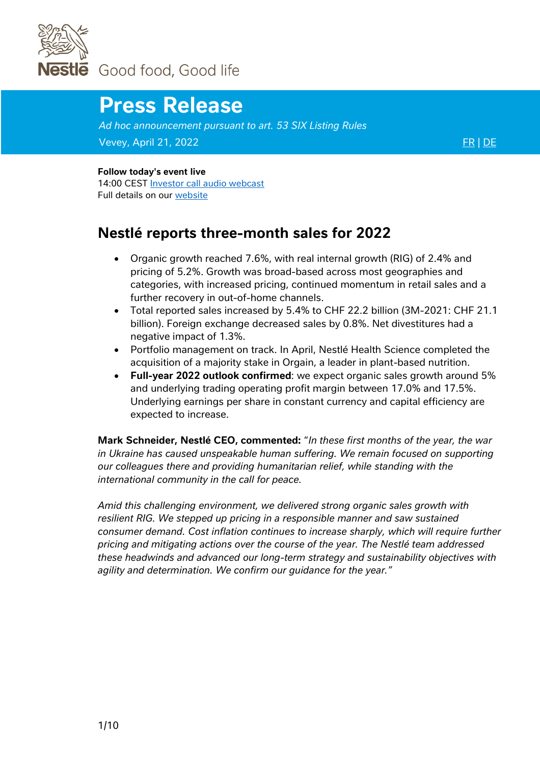

# **Press Release**

*Ad hoc announcement pursuant to art. 53 SIX Listing Rules* Vevey, April 21, 2022 [FR](https://www.nestle.com/sites/default/files/2022-04/three-month-sales-2022-press-release-fr.pdf) | [DE](https://www.nestle.com/sites/default/files/2022-04/three-month-sales-2022-press-release-de.pdf) EXPLORE EXPLORE EXPLORE EXPLORE EXPLORE EXPLORE EXPLORE

#### **Follow today's event live**

14:00 CEST [Investor call audio webcast](https://edge.media-server.com/mmc/go/Nestle2022ThreeMonthSales) Full details on our [website](https://www.nestle.com/media/mediaeventscalendar/allevents/2022-three-month-sales) 

### **Nestlé reports three-month sales for 2022**

- Organic growth reached 7.6%, with real internal growth (RIG) of 2.4% and pricing of 5.2%. Growth was broad-based across most geographies and categories, with increased pricing, continued momentum in retail sales and a further recovery in out-of-home channels.
- Total reported sales increased by 5.4% to CHF 22.2 billion (3M-2021: CHF 21.1 billion). Foreign exchange decreased sales by 0.8%. Net divestitures had a negative impact of 1.3%.
- Portfolio management on track. In April, Nestlé Health Science completed the acquisition of a majority stake in Orgain, a leader in plant-based nutrition.
- **Full-year 2022 outlook confirmed**: we expect organic sales growth around 5% and underlying trading operating profit margin between 17.0% and 17.5%. Underlying earnings per share in constant currency and capital efficiency are expected to increase.

**Mark Schneider, Nestlé CEO, commented:** "*In these first months of the year, the war in Ukraine has caused unspeakable human suffering. We remain focused on supporting our colleagues there and providing humanitarian relief, while standing with the international community in the call for peace.*

*Amid this challenging environment, we delivered strong organic sales growth with resilient RIG. We stepped up pricing in a responsible manner and saw sustained consumer demand. Cost inflation continues to increase sharply, which will require further pricing and mitigating actions over the course of the year. The Nestlé team addressed these headwinds and advanced our long-term strategy and sustainability objectives with agility and determination. We confirm our guidance for the year."*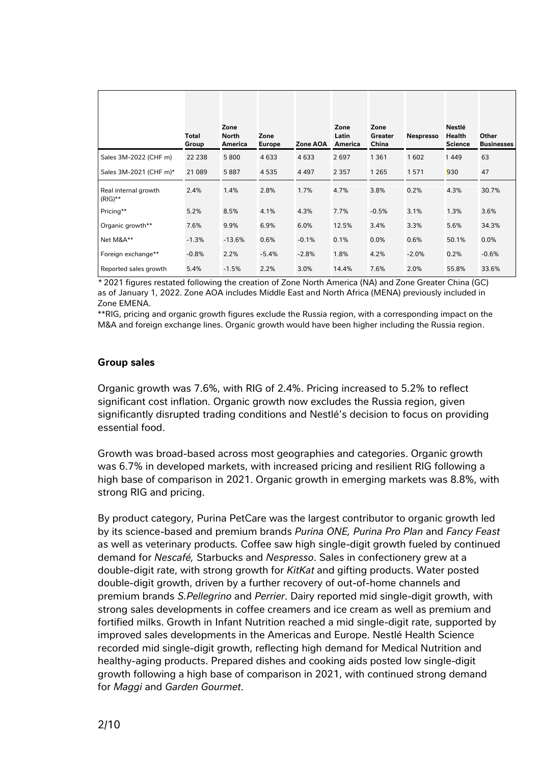|                                    | Total<br>Group | Zone<br><b>North</b><br>America | Zone<br><b>Europe</b> | Zone AOA | Zone<br>Latin<br>America | Zone<br><b>Greater</b><br>China | <b>Nespresso</b> | Nestlé<br><b>Health</b><br><b>Science</b> | Other<br><b>Businesses</b> |
|------------------------------------|----------------|---------------------------------|-----------------------|----------|--------------------------|---------------------------------|------------------|-------------------------------------------|----------------------------|
| Sales 3M-2022 (CHF m)              | 22 2 38        | 5800                            | 4 6 3 3               | 4633     | 2697                     | 1 3 6 1                         | 1602             | 1449                                      | 63                         |
| Sales 3M-2021 (CHF m)*             | 21 089         | 5887                            | 4535                  | 4 4 9 7  | 2 3 5 7                  | 1 2 6 5                         | 1571             | 930                                       | 47                         |
| Real internal growth<br>$(RIG)$ ** | 2.4%           | 1.4%                            | 2.8%                  | 1.7%     | 4.7%                     | 3.8%                            | 0.2%             | 4.3%                                      | 30.7%                      |
| Pricing**                          | 5.2%           | 8.5%                            | 4.1%                  | 4.3%     | 7.7%                     | $-0.5%$                         | 3.1%             | 1.3%                                      | 3.6%                       |
| Organic growth**                   | 7.6%           | 9.9%                            | 6.9%                  | 6.0%     | 12.5%                    | 3.4%                            | 3.3%             | 5.6%                                      | 34.3%                      |
| Net M&A**                          | $-1.3%$        | $-13.6%$                        | 0.6%                  | $-0.1%$  | 0.1%                     | 0.0%                            | 0.6%             | 50.1%                                     | 0.0%                       |
| Foreign exchange**                 | $-0.8%$        | 2.2%                            | $-5.4%$               | $-2.8%$  | 1.8%                     | 4.2%                            | $-2.0%$          | 0.2%                                      | $-0.6%$                    |
| Reported sales growth              | 5.4%           | $-1.5%$                         | 2.2%                  | 3.0%     | 14.4%                    | 7.6%                            | 2.0%             | 55.8%                                     | 33.6%                      |

*\** 2021 figures restated following the creation of Zone North America (NA) and Zone Greater China (GC) as of January 1, 2022. Zone AOA includes Middle East and North Africa (MENA) previously included in Zone EMENA.

\*\*RIG, pricing and organic growth figures exclude the Russia region, with a corresponding impact on the M&A and foreign exchange lines. Organic growth would have been higher including the Russia region.

#### **Group sales**

Organic growth was 7.6%, with RIG of 2.4%. Pricing increased to 5.2% to reflect significant cost inflation. Organic growth now excludes the Russia region, given significantly disrupted trading conditions and Nestlé's decision to focus on providing essential food.

Growth was broad-based across most geographies and categories. Organic growth was 6.7% in developed markets, with increased pricing and resilient RIG following a high base of comparison in 2021. Organic growth in emerging markets was 8.8%, with strong RIG and pricing.

By product category, Purina PetCare was the largest contributor to organic growth led by its science-based and premium brands *Purina ONE, Purina Pro Plan* and *Fancy Feast* as well as veterinary products*.* Coffee saw high single-digit growth fueled by continued demand for *Nescafé,* Starbucks and *Nespresso*. Sales in confectionery grew at a double-digit rate, with strong growth for *KitKat* and gifting products. Water posted double-digit growth, driven by a further recovery of out-of-home channels and premium brands *S.Pellegrino* and *Perrier*. Dairy reported mid single-digit growth, with strong sales developments in coffee creamers and ice cream as well as premium and fortified milks. Growth in Infant Nutrition reached a mid single-digit rate, supported by improved sales developments in the Americas and Europe. Nestlé Health Science recorded mid single-digit growth, reflecting high demand for Medical Nutrition and healthy-aging products. Prepared dishes and cooking aids posted low single-digit growth following a high base of comparison in 2021, with continued strong demand for *Maggi* and *Garden Gourmet*.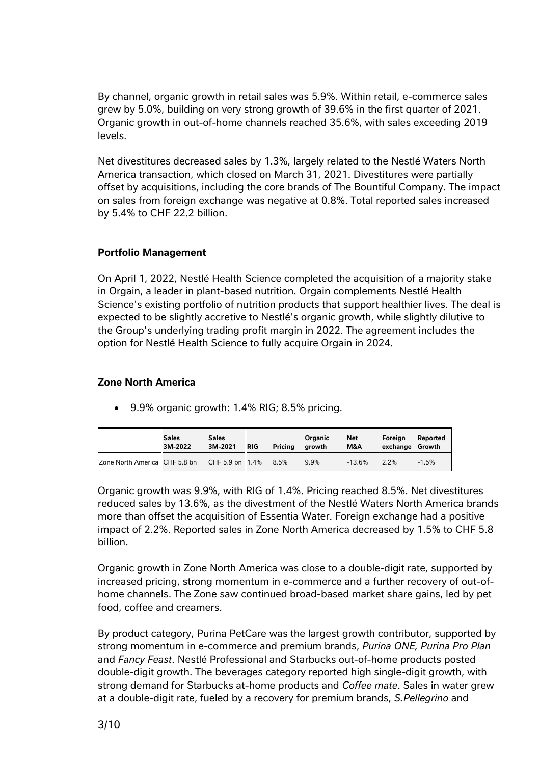By channel, organic growth in retail sales was 5.9%. Within retail, e-commerce sales grew by 5.0%, building on very strong growth of 39.6% in the first quarter of 2021. Organic growth in out-of-home channels reached 35.6%, with sales exceeding 2019 levels.

Net divestitures decreased sales by 1.3%, largely related to the Nestlé Waters North America transaction, which closed on March 31, 2021. Divestitures were partially offset by acquisitions, including the core brands of The Bountiful Company. The impact on sales from foreign exchange was negative at 0.8%. Total reported sales increased by 5.4% to CHF 22.2 billion.

#### **Portfolio Management**

On April 1, 2022, Nestlé Health Science completed the acquisition of a majority stake in Orgain, a leader in plant-based nutrition. Orgain complements Nestlé Health Science's existing portfolio of nutrition products that support healthier lives. The deal is expected to be slightly accretive to Nestlé's organic growth, while slightly dilutive to the Group's underlying trading profit margin in 2022. The agreement includes the option for Nestlé Health Science to fully acquire Orgain in 2024.

#### **Zone North America**

• 9.9% organic growth: 1.4% RIG; 8.5% pricing.

|                               | <b>Sales</b><br>3M-2022 | <b>Sales</b><br>3M-2021 | <b>RIG</b> | Pricina | Organic<br>arowth | <b>Net</b><br>M&A | Foreian<br>exchange Growth | Reported |
|-------------------------------|-------------------------|-------------------------|------------|---------|-------------------|-------------------|----------------------------|----------|
| Zone North America CHF 5.8 bn |                         | CHF 5.9 bn 1.4%         |            | 8.5%    | 9.9%              | $-13.6%$          | 2.2%                       | $-1.5%$  |

Organic growth was 9.9%, with RIG of 1.4%. Pricing reached 8.5%. Net divestitures reduced sales by 13.6%, as the divestment of the Nestlé Waters North America brands more than offset the acquisition of Essentia Water. Foreign exchange had a positive impact of 2.2%. Reported sales in Zone North America decreased by 1.5% to CHF 5.8 billion.

Organic growth in Zone North America was close to a double-digit rate, supported by increased pricing, strong momentum in e-commerce and a further recovery of out-ofhome channels. The Zone saw continued broad-based market share gains, led by pet food, coffee and creamers.

By product category, Purina PetCare was the largest growth contributor, supported by strong momentum in e-commerce and premium brands, *Purina ONE, Purina Pro Plan*  and *Fancy Feast*. Nestlé Professional and Starbucks out-of-home products posted double-digit growth. The beverages category reported high single-digit growth, with strong demand for Starbucks at-home products and *Coffee mate*. Sales in water grew at a double-digit rate, fueled by a recovery for premium brands, *S.Pellegrino* and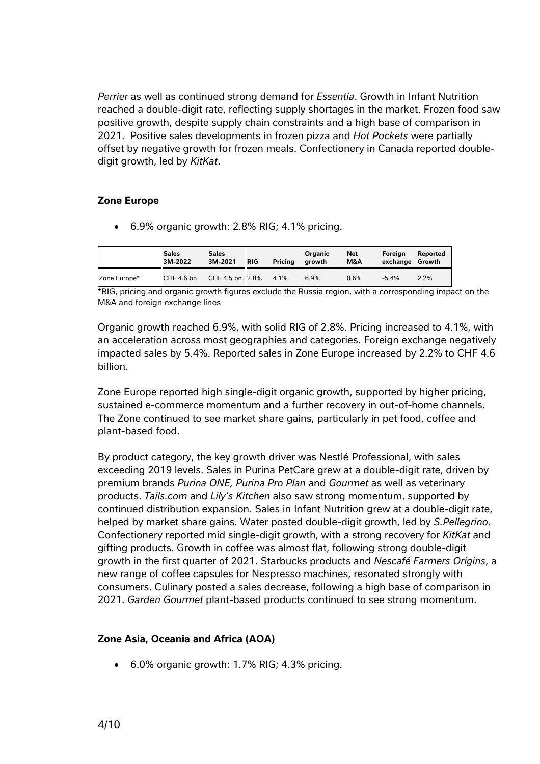*Perrier* as well as continued strong demand for *Essentia*. Growth in Infant Nutrition reached a double-digit rate, reflecting supply shortages in the market. Frozen food saw positive growth, despite supply chain constraints and a high base of comparison in 2021. Positive sales developments in frozen pizza and *Hot Pockets* were partially offset by negative growth for frozen meals. Confectionery in Canada reported doubledigit growth, led by *KitKat*.

#### **Zone Europe**

• 6.9% organic growth: 2.8% RIG; 4.1% pricing.

|              | <b>Sales</b><br>3M-2022 | <b>Sales</b><br>3M-2021 | RIG | Pricina | Organic<br>arowth | Net<br>M&A | Foreian<br>exchange Growth | Reported |
|--------------|-------------------------|-------------------------|-----|---------|-------------------|------------|----------------------------|----------|
| Zone Europe* | CHF 4.6 bn              | CHF 4.5 bn 2.8%         |     | 4.1%    | 6.9%              | 0.6%       | $-5.4%$                    | 2.2%     |

\*RIG, pricing and organic growth figures exclude the Russia region, with a corresponding impact on the M&A and foreign exchange lines

Organic growth reached 6.9%, with solid RIG of 2.8%. Pricing increased to 4.1%, with an acceleration across most geographies and categories. Foreign exchange negatively impacted sales by 5.4%. Reported sales in Zone Europe increased by 2.2% to CHF 4.6 billion.

Zone Europe reported high single-digit organic growth, supported by higher pricing, sustained e-commerce momentum and a further recovery in out-of-home channels. The Zone continued to see market share gains, particularly in pet food, coffee and plant-based food.

By product category, the key growth driver was Nestlé Professional, with sales exceeding 2019 levels. Sales in Purina PetCare grew at a double-digit rate, driven by premium brands *Purina ONE, Purina Pro Plan* and *Gourmet* as well as veterinary products. *Tails.com* and *Lily's Kitchen* also saw strong momentum, supported by continued distribution expansion. Sales in Infant Nutrition grew at a double-digit rate, helped by market share gains*.* Water posted double-digit growth, led by *S.Pellegrino*. Confectionery reported mid single-digit growth, with a strong recovery for *KitKat* and gifting products. Growth in coffee was almost flat, following strong double-digit growth in the first quarter of 2021. Starbucks products and *Nescafé Farmers Origins*, a new range of coffee capsules for Nespresso machines, resonated strongly with consumers. Culinary posted a sales decrease, following a high base of comparison in 2021. *Garden Gourmet* plant-based products continued to see strong momentum.

#### **Zone Asia, Oceania and Africa (AOA)**

• 6.0% organic growth: 1.7% RIG; 4.3% pricing.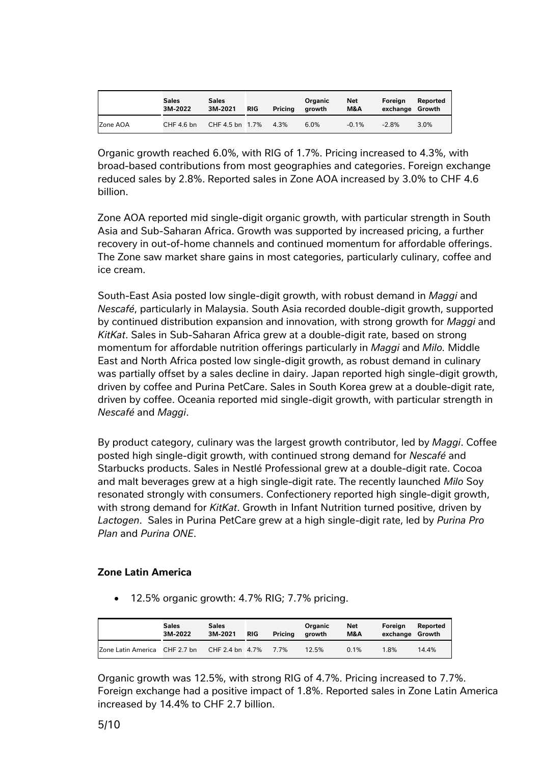|          | <b>Sales</b><br>3M-2022 | <b>Sales</b><br>3M-2021 | <b>RIG</b> | Pricing | Organic<br>growth | <b>Net</b><br>M&A | Foreian<br>exchange Growth | Reported |
|----------|-------------------------|-------------------------|------------|---------|-------------------|-------------------|----------------------------|----------|
| Zone AOA | CHF 4.6 bn              | CHF 4.5 bn 1.7%         |            | 4.3%    | 6.0%              | $-0.1%$           | $-2.8%$                    | 3.0%     |

Organic growth reached 6.0%, with RIG of 1.7%. Pricing increased to 4.3%, with broad-based contributions from most geographies and categories. Foreign exchange reduced sales by 2.8%. Reported sales in Zone AOA increased by 3.0% to CHF 4.6 billion.

Zone AOA reported mid single-digit organic growth, with particular strength in South Asia and Sub-Saharan Africa. Growth was supported by increased pricing, a further recovery in out-of-home channels and continued momentum for affordable offerings. The Zone saw market share gains in most categories, particularly culinary, coffee and ice cream.

South-East Asia posted low single-digit growth, with robust demand in *Maggi* and *Nescafé*, particularly in Malaysia. South Asia recorded double-digit growth, supported by continued distribution expansion and innovation, with strong growth for *Maggi* and *KitKat*. Sales in Sub-Saharan Africa grew at a double-digit rate, based on strong momentum for affordable nutrition offerings particularly in *Maggi* and *Milo.* Middle East and North Africa posted low single-digit growth, as robust demand in culinary was partially offset by a sales decline in dairy. Japan reported high single-digit growth, driven by coffee and Purina PetCare. Sales in South Korea grew at a double-digit rate, driven by coffee. Oceania reported mid single-digit growth, with particular strength in *Nescafé* and *Maggi*.

By product category, culinary was the largest growth contributor, led by *Maggi*. Coffee posted high single-digit growth, with continued strong demand for *Nescafé* and Starbucks products. Sales in Nestlé Professional grew at a double-digit rate. Cocoa and malt beverages grew at a high single-digit rate. The recently launched *Milo* Soy resonated strongly with consumers. Confectionery reported high single-digit growth, with strong demand for *KitKat*. Growth in Infant Nutrition turned positive, driven by *Lactogen*. Sales in Purina PetCare grew at a high single-digit rate, led by *Purina Pro Plan* and *Purina ONE*.

#### **Zone Latin America**

• 12.5% organic growth: 4.7% RIG; 7.7% pricing.

|                               | <b>Sales</b><br>3M-2022 | <b>Sales</b><br>3M-2021 | <b>RIG</b> | Pricina | Organic<br>arowth | Net<br>M&A | Foreian<br>exchange Growth | Reported |
|-------------------------------|-------------------------|-------------------------|------------|---------|-------------------|------------|----------------------------|----------|
| Zone Latin America CHF 2.7 bn |                         | CHF 2.4 bn 4.7%         |            | 7 7%    | 12.5%             | 0.1%       | 1.8%                       | 14.4%    |

Organic growth was 12.5%, with strong RIG of 4.7%. Pricing increased to 7.7%. Foreign exchange had a positive impact of 1.8%. Reported sales in Zone Latin America increased by 14.4% to CHF 2.7 billion.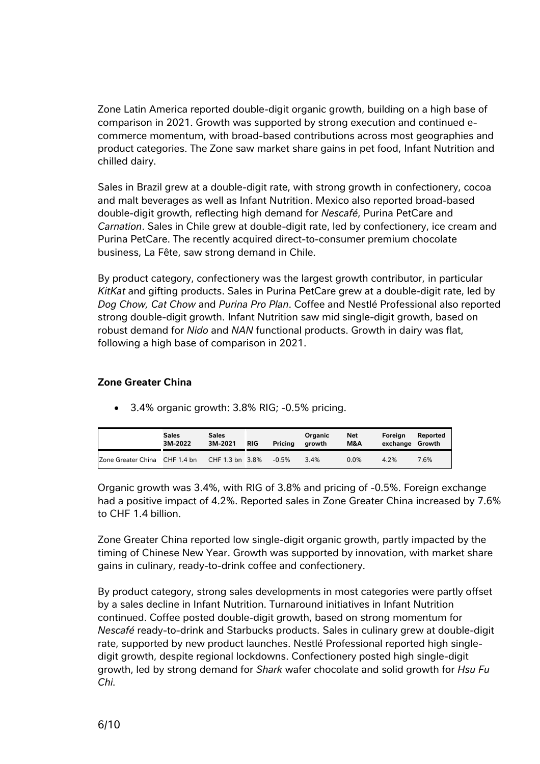Zone Latin America reported double-digit organic growth, building on a high base of comparison in 2021. Growth was supported by strong execution and continued ecommerce momentum, with broad-based contributions across most geographies and product categories. The Zone saw market share gains in pet food, Infant Nutrition and chilled dairy.

Sales in Brazil grew at a double-digit rate, with strong growth in confectionery, cocoa and malt beverages as well as Infant Nutrition. Mexico also reported broad-based double-digit growth, reflecting high demand for *Nescafé*, Purina PetCare and *Carnation*. Sales in Chile grew at double-digit rate, led by confectionery, ice cream and Purina PetCare. The recently acquired direct-to-consumer premium chocolate business, La Fête, saw strong demand in Chile.

By product category, confectionery was the largest growth contributor, in particular *KitKat* and gifting products. Sales in Purina PetCare grew at a double-digit rate, led by *Dog Chow, Cat Chow* and *Purina Pro Plan*. Coffee and Nestlé Professional also reported strong double-digit growth. Infant Nutrition saw mid single-digit growth, based on robust demand for *Nido* and *NAN* functional products. Growth in dairy was flat, following a high base of comparison in 2021.

#### **Zone Greater China**

**Sales 3M-2022 Sales 3M-2021 RIG Pricing Organic growth Net M&A Foreign exchange Growth**

Zone Greater China CHF 1.4 bn CHF 1.3 bn 3.8% -0.5% 3.4% 0.0% 4.2% 7.6%

• 3.4% organic growth: 3.8% RIG; -0.5% pricing.

Organic growth was 3.4%, with RIG of 3.8% and pricing of -0.5%. Foreign exchange had a positive impact of 4.2%. Reported sales in Zone Greater China increased by 7.6% to CHF 1.4 billion.

**Reported**

Zone Greater China reported low single-digit organic growth, partly impacted by the timing of Chinese New Year. Growth was supported by innovation, with market share gains in culinary, ready-to-drink coffee and confectionery.

By product category, strong sales developments in most categories were partly offset by a sales decline in Infant Nutrition. Turnaround initiatives in Infant Nutrition continued. Coffee posted double-digit growth, based on strong momentum for *Nescafé* ready-to-drink and Starbucks products. Sales in culinary grew at double-digit rate, supported by new product launches. Nestlé Professional reported high singledigit growth, despite regional lockdowns. Confectionery posted high single-digit growth, led by strong demand for *Shark* wafer chocolate and solid growth for *Hsu Fu Chi.*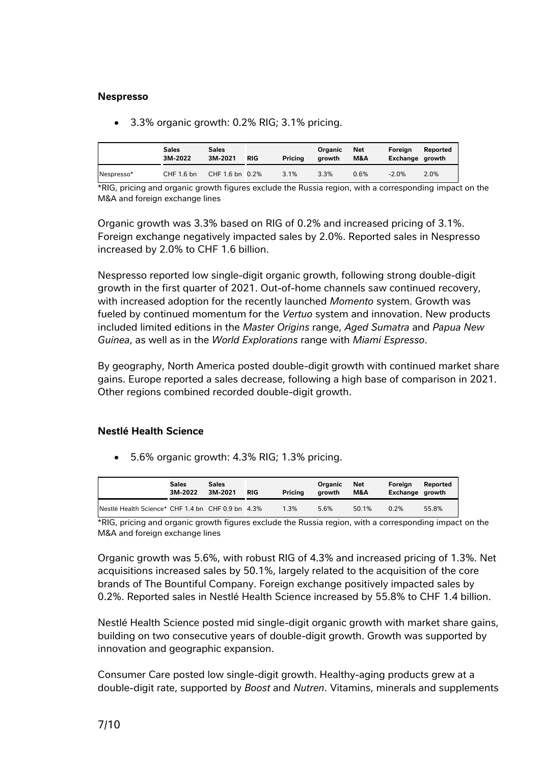#### **Nespresso**

• 3.3% organic growth: 0.2% RIG; 3.1% pricing.

|            | Sales<br>3M-2022 | Sales<br>3M-2021 | <b>RIG</b> | Pricina | Organic<br>arowth | Net<br><b>M&amp;A</b> | Foreian<br>Exchange growth | Reported |
|------------|------------------|------------------|------------|---------|-------------------|-----------------------|----------------------------|----------|
| Nespresso* | CHF 1.6 bn       | CHF 1.6 bn 0.2%  |            | 3.1%    | 3.3%              | 0.6%                  | $-2.0%$                    | 2.0%     |

\*RIG, pricing and organic growth figures exclude the Russia region, with a corresponding impact on the M&A and foreign exchange lines

Organic growth was 3.3% based on RIG of 0.2% and increased pricing of 3.1%. Foreign exchange negatively impacted sales by 2.0%. Reported sales in Nespresso increased by 2.0% to CHF 1.6 billion.

Nespresso reported low single-digit organic growth, following strong double-digit growth in the first quarter of 2021. Out-of-home channels saw continued recovery, with increased adoption for the recently launched *Momento* system. Growth was fueled by continued momentum for the *Vertuo* system and innovation. New products included limited editions in the *Master Origins* range, *Aged Sumatra* and *Papua New Guinea*, as well as in the *World Explorations* range with *Miami Espresso*.

By geography, North America posted double-digit growth with continued market share gains. Europe reported a sales decrease, following a high base of comparison in 2021. Other regions combined recorded double-digit growth.

#### **Nestlé Health Science**

• 5.6% organic growth: 4.3% RIG; 1.3% pricing.

|                                                    | Sales<br>3M-2022 | Sales<br>3M-2021 | <b>RIG</b> | Pricina | Organic<br>arowth | Net<br>M&A | Foreian<br>Exchange growth | Reported |
|----------------------------------------------------|------------------|------------------|------------|---------|-------------------|------------|----------------------------|----------|
| INestlé Health Science* CHF 1.4 bn CHF 0.9 bn 4.3% |                  |                  |            | 1.3%    | 5.6%              | 50.1%      | 0.2%                       | 55.8%    |

\*RIG, pricing and organic growth figures exclude the Russia region, with a corresponding impact on the M&A and foreign exchange lines

Organic growth was 5.6%, with robust RIG of 4.3% and increased pricing of 1.3%. Net acquisitions increased sales by 50.1%, largely related to the acquisition of the core brands of The Bountiful Company. Foreign exchange positively impacted sales by 0.2%. Reported sales in Nestlé Health Science increased by 55.8% to CHF 1.4 billion.

Nestlé Health Science posted mid single-digit organic growth with market share gains, building on two consecutive years of double-digit growth. Growth was supported by innovation and geographic expansion.

Consumer Care posted low single-digit growth. Healthy-aging products grew at a double-digit rate, supported by *Boost* and *Nutren*. Vitamins, minerals and supplements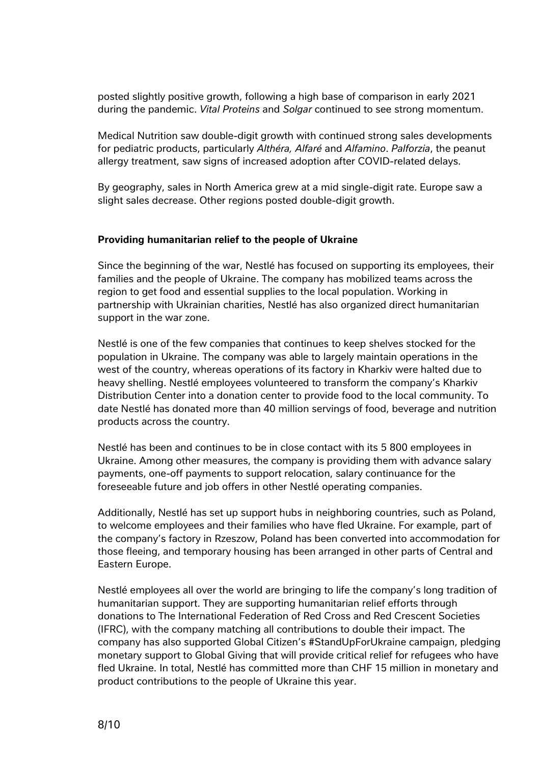posted slightly positive growth, following a high base of comparison in early 2021 during the pandemic. *Vital Proteins* and *Solgar* continued to see strong momentum.

Medical Nutrition saw double-digit growth with continued strong sales developments for pediatric products, particularly *Althéra, Alfaré* and *Alfamino*. *Palforzia*, the peanut allergy treatment, saw signs of increased adoption after COVID-related delays.

By geography, sales in North America grew at a mid single-digit rate. Europe saw a slight sales decrease. Other regions posted double-digit growth.

#### **Providing humanitarian relief to the people of Ukraine**

Since the beginning of the war, Nestlé has focused on supporting its employees, their families and the people of Ukraine. The company has mobilized teams across the region to get food and essential supplies to the local population. Working in partnership with Ukrainian charities, Nestlé has also organized direct humanitarian support in the war zone.

Nestlé is one of the few companies that continues to keep shelves stocked for the population in Ukraine. The company was able to largely maintain operations in the west of the country, whereas operations of its factory in Kharkiv were halted due to heavy shelling. Nestlé employees volunteered to transform the company's Kharkiv Distribution Center into a donation center to provide food to the local community. To date Nestlé has donated more than 40 million servings of food, beverage and nutrition products across the country.

Nestlé has been and continues to be in close contact with its 5 800 employees in Ukraine. Among other measures, the company is providing them with advance salary payments, one-off payments to support relocation, salary continuance for the foreseeable future and job offers in other Nestlé operating companies.

Additionally, Nestlé has set up support hubs in neighboring countries, such as Poland, to welcome employees and their families who have fled Ukraine. For example, part of the company's factory in Rzeszow, Poland has been converted into accommodation for those fleeing, and temporary housing has been arranged in other parts of Central and Eastern Europe.

Nestlé employees all over the world are bringing to life the company's long tradition of humanitarian support. They are supporting humanitarian relief efforts through donations to The International Federation of Red Cross and Red Crescent Societies (IFRC), with the company matching all contributions to double their impact. The company has also supported Global Citizen's #StandUpForUkraine campaign, pledging monetary support to Global Giving that will provide critical relief for refugees who have fled Ukraine. In total, Nestlé has committed more than CHF 15 million in monetary and product contributions to the people of Ukraine this year.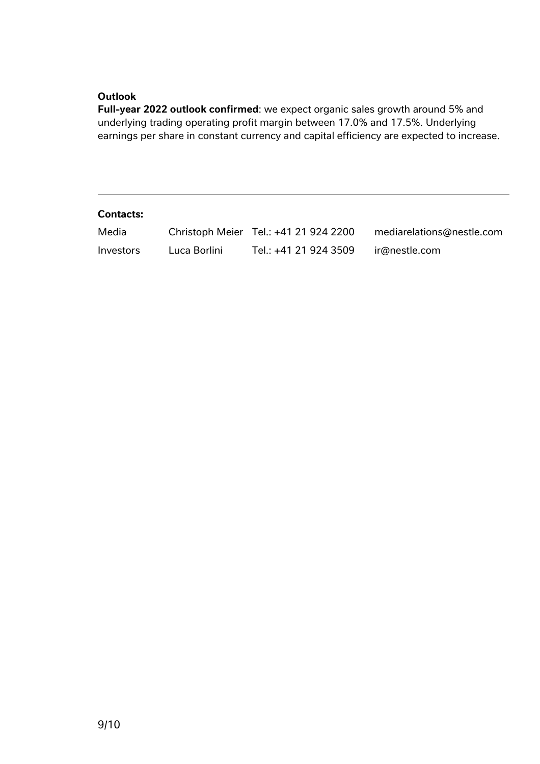#### **Outlook**

**Full-year 2022 outlook confirmed**: we expect organic sales growth around 5% and underlying trading operating profit margin between 17.0% and 17.5%. Underlying earnings per share in constant currency and capital efficiency are expected to increase.

#### **Contacts:**

| Media            |              | Christoph Meier Tel.: +41 21 924 2200 | mediarelations@nestle.com |
|------------------|--------------|---------------------------------------|---------------------------|
| <i>Investors</i> | Luca Borlini | Tel.: +41 21 924 3509                 | ir@nestle.com             |